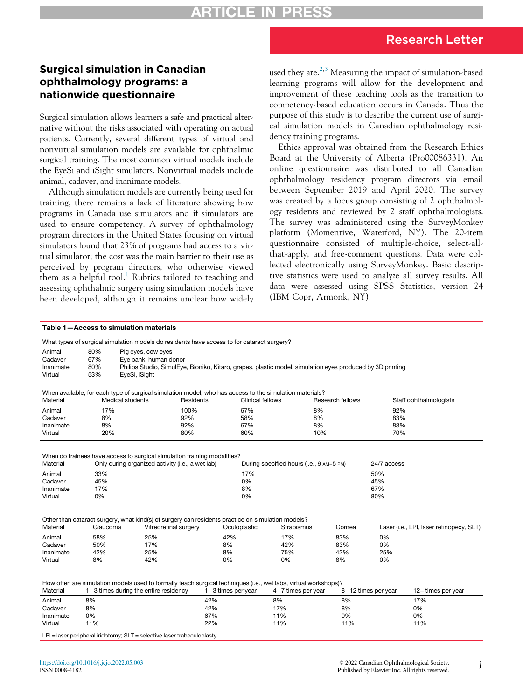## Research Letter

## Surgical simulation in Canadian ophthalmology programs: a nationwide questionnaire

Surgical simulation allows learners a safe and practical alternative without the risks associated with operating on actual patients. Currently, several different types of virtual and nonvirtual simulation models are available for ophthalmic surgical training. The most common virtual models include the EyeSi and iSight simulators. Nonvirtual models include animal, cadaver, and inanimate models.

Although simulation models are currently being used for training, there remains a lack of literature showing how programs in Canada use simulators and if simulators are used to ensure competency. A survey of ophthalmology program directors in the United States focusing on virtual simulators found that 23% of programs had access to a virtual simulator; the cost was the main barrier to their use as perceived by program directors, who otherwise viewed them as a helpful tool.<sup>[1](#page-1-0)</sup> Rubrics tailored to teaching and assessing ophthalmic surgery using simulation models have been developed, although it remains unclear how widely used they are.<sup>[2](#page-1-1)[,3](#page-2-0)</sup> Measuring the impact of simulation-based learning programs will allow for the development and improvement of these teaching tools as the transition to competency-based education occurs in Canada. Thus the purpose of this study is to describe the current use of surgical simulation models in Canadian ophthalmology residency training programs.

Ethics approval was obtained from the Research Ethics Board at the University of Alberta (Pro00086331). An online questionnaire was distributed to all Canadian ophthalmology residency program directors via email between September 2019 and April 2020. The survey was created by a focus group consisting of 2 ophthalmology residents and reviewed by 2 staff ophthalmologists. The survey was administered using the SurveyMonkey platform (Momentive, Waterford, NY). The 20-item questionnaire consisted of multiple-choice, select-allthat-apply, and free-comment questions. Data were collected electronically using SurveyMonkey. Basic descriptive statistics were used to analyze all survey results. All data were assessed using SPSS Statistics, version 24 (IBM Copr, Armonk, NY).

#### <span id="page-0-0"></span>Table 1—Access to simulation materials

|           |                  | What types of surgical simulation models do residents have access to for cataract surgery?                                 |                         |                                          |                  |                     |                                          |
|-----------|------------------|----------------------------------------------------------------------------------------------------------------------------|-------------------------|------------------------------------------|------------------|---------------------|------------------------------------------|
| Animal    | 80%              | Pig eyes, cow eyes                                                                                                         |                         |                                          |                  |                     |                                          |
| Cadaver   | 67%              | Eye bank, human donor                                                                                                      |                         |                                          |                  |                     |                                          |
| Inanimate | 80%              |                                                                                                                            |                         |                                          |                  |                     |                                          |
| Virtual   | 53%              | Philips Studio, SimulEye, Bioniko, Kitaro, grapes, plastic model, simulation eyes produced by 3D printing<br>EyeSi, iSight |                         |                                          |                  |                     |                                          |
|           |                  |                                                                                                                            |                         |                                          |                  |                     |                                          |
|           |                  | When available, for each type of surgical simulation model, who has access to the simulation materials?                    |                         |                                          |                  |                     |                                          |
| Material  | Medical students | Residents                                                                                                                  | <b>Clinical fellows</b> |                                          | Research fellows |                     | Staff ophthalmologists                   |
| Animal    | 17%              | 100%                                                                                                                       | 67%                     |                                          | 8%               | 92%                 |                                          |
| Cadaver   | 8%               | 92%                                                                                                                        | 58%                     |                                          | 8%               | 83%                 |                                          |
| Inanimate | 8%               | 92%                                                                                                                        | 67%                     |                                          | 8%               | 83%                 |                                          |
| Virtual   | 20%              | 80%                                                                                                                        | 60%                     |                                          | 10%              | 70%                 |                                          |
|           |                  |                                                                                                                            |                         |                                          |                  |                     |                                          |
|           |                  |                                                                                                                            |                         |                                          |                  |                     |                                          |
|           |                  | When do trainees have access to surgical simulation training modalities?                                                   |                         |                                          |                  |                     |                                          |
| Material  |                  | Only during organized activity (i.e., a wet lab)                                                                           |                         | During specified hours (i.e., 9 AM-5 PM) |                  | 24/7 access         |                                          |
|           |                  |                                                                                                                            |                         |                                          |                  |                     |                                          |
| Animal    | 33%              |                                                                                                                            | 17%                     |                                          |                  | 50%                 |                                          |
| Cadaver   | 45%              |                                                                                                                            | 0%                      |                                          |                  | 45%                 |                                          |
| Inanimate | 17%              |                                                                                                                            | 8%                      |                                          |                  | 67%                 |                                          |
| Virtual   | 0%               |                                                                                                                            | 0%                      |                                          |                  | 80%                 |                                          |
|           |                  |                                                                                                                            |                         |                                          |                  |                     |                                          |
|           |                  |                                                                                                                            |                         |                                          |                  |                     |                                          |
|           |                  | Other than cataract surgery, what kind(s) of surgery can residents practice on simulation models?                          |                         |                                          |                  |                     |                                          |
| Material  | Glaucoma         | Vitreoretinal surgery                                                                                                      | Oculoplastic            | Strabismus                               | Cornea           |                     | Laser (i.e., LPI, laser retinopexy, SLT) |
| Animal    | 58%              | 25%                                                                                                                        | 42%                     | 17%                                      | 83%              | 0%                  |                                          |
| Cadaver   | 50%              | 17%                                                                                                                        | 8%                      | 42%                                      | 83%              | 0%                  |                                          |
| Inanimate | 42%              | 25%                                                                                                                        | 8%                      | 75%                                      | 42%              | 25%                 |                                          |
| Virtual   | 8%               | 42%                                                                                                                        | 0%                      | 0%                                       | 8%               | 0%                  |                                          |
|           |                  |                                                                                                                            |                         |                                          |                  |                     |                                          |
|           |                  |                                                                                                                            |                         |                                          |                  |                     |                                          |
|           |                  | How often are simulation models used to formally teach surgical techniques (i.e., wet labs, virtual workshops)?            |                         |                                          |                  |                     |                                          |
| Material  |                  | $1-3$ times during the entire residency                                                                                    | $1-3$ times per year    | $4-7$ times per year                     |                  | 8-12 times per year | 12+ times per year                       |
| Animal    | 8%               |                                                                                                                            | 42%                     | 8%                                       | 8%               |                     | 17%                                      |
| Cadaver   | 8%               |                                                                                                                            | 42%                     | 17%                                      | 8%               |                     | 0%                                       |

Cadaver 8% 42% 17% 8% 0% Inanimate 0% 67% 11% 0% 0% Virtual 11% 22% 11% 11% 11% LPI = laser peripheral iridotomy; SLT = selective laser trabeculoplasty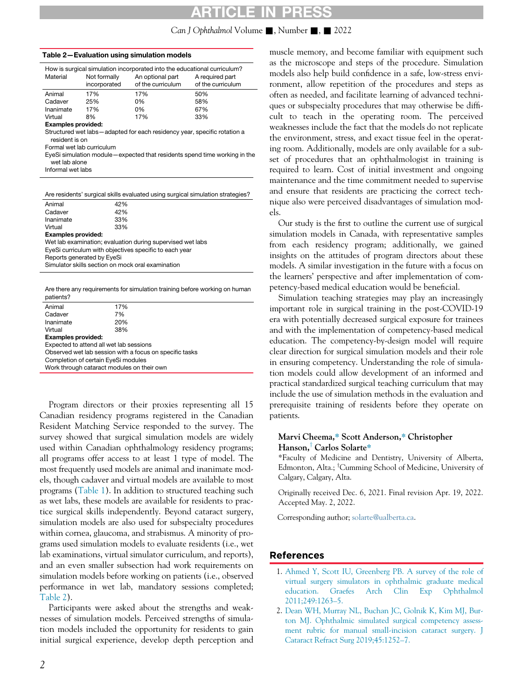## RTICLE IN P

#### Can J Ophthalmol Volume  $\blacksquare$ , Number  $\blacksquare$ ,  $\blacksquare$  2022

<span id="page-1-2"></span>

| Table 2-Evaluation using simulation models |                              |                                                                                                                   |                                                                             |  |  |  |
|--------------------------------------------|------------------------------|-------------------------------------------------------------------------------------------------------------------|-----------------------------------------------------------------------------|--|--|--|
| Material                                   | Not formally<br>incorporated | How is surgical simulation incorporated into the educational curriculum?<br>An optional part<br>of the curriculum | A required part<br>of the curriculum                                        |  |  |  |
| Animal                                     | 17%                          | 17%                                                                                                               | 50%                                                                         |  |  |  |
| Cadaver                                    | 25%                          | 0%                                                                                                                | 58%                                                                         |  |  |  |
| Inanimate                                  | 17%                          | 0%                                                                                                                | 67%                                                                         |  |  |  |
| Virtual                                    | 8%                           | 17%                                                                                                               | 33%                                                                         |  |  |  |
| <b>Examples provided:</b>                  |                              |                                                                                                                   |                                                                             |  |  |  |
| resident is on                             |                              | Structured wet labs-adapted for each residency year, specific rotation a                                          |                                                                             |  |  |  |
| Formal wet lab curriculum                  |                              |                                                                                                                   |                                                                             |  |  |  |
| wet lab alone                              |                              |                                                                                                                   | EyeSi simulation module – expected that residents spend time working in the |  |  |  |
| Informal wet labs                          |                              |                                                                                                                   |                                                                             |  |  |  |
|                                            |                              |                                                                                                                   |                                                                             |  |  |  |

Are residents' surgical skills evaluated using surgical simulation strategies?

| Animal                                            | 42%                                                        |  |  |
|---------------------------------------------------|------------------------------------------------------------|--|--|
| Cadaver                                           | 42%                                                        |  |  |
| Inanimate                                         | 33%                                                        |  |  |
| Virtual                                           | 33%                                                        |  |  |
| <b>Examples provided:</b>                         |                                                            |  |  |
|                                                   | Wet lab examination; evaluation during supervised wet labs |  |  |
|                                                   | EyeSi curriculum with objectives specific to each year     |  |  |
| Reports generated by EyeSi                        |                                                            |  |  |
| Simulator skills section on mock oral examination |                                                            |  |  |

Are there any requirements for simulation training before working on human patients?

| Animal                                                  | 17% |  |  |  |
|---------------------------------------------------------|-----|--|--|--|
| Cadaver                                                 | 7%  |  |  |  |
| Inanimate                                               | 20% |  |  |  |
| Virtual                                                 | 38% |  |  |  |
| <b>Examples provided:</b>                               |     |  |  |  |
| Expected to attend all wet lab sessions                 |     |  |  |  |
| Observed wet lab session with a focus on specific tasks |     |  |  |  |
| Completion of certain EyeSi modules                     |     |  |  |  |
| Work through cataract modules on their own              |     |  |  |  |
|                                                         |     |  |  |  |

Program directors or their proxies representing all 15 Canadian residency programs registered in the Canadian Resident Matching Service responded to the survey. The survey showed that surgical simulation models are widely used within Canadian ophthalmology residency programs; all programs offer access to at least 1 type of model. The most frequently used models are animal and inanimate models, though cadaver and virtual models are available to most programs [\(Table 1\)](#page-0-0). In addition to structured teaching such as wet labs, these models are available for residents to practice surgical skills independently. Beyond cataract surgery, simulation models are also used for subspecialty procedures within cornea, glaucoma, and strabismus. A minority of programs used simulation models to evaluate residents (i.e., wet lab examinations, virtual simulator curriculum, and reports), and an even smaller subsection had work requirements on simulation models before working on patients (i.e., observed performance in wet lab, mandatory sessions completed; [Table 2\)](#page-1-2).

<span id="page-1-1"></span><span id="page-1-0"></span>Participants were asked about the strengths and weaknesses of simulation models. Perceived strengths of simulation models included the opportunity for residents to gain initial surgical experience, develop depth perception and muscle memory, and become familiar with equipment such as the microscope and steps of the procedure. Simulation models also help build confidence in a safe, low-stress environment, allow repetition of the procedures and steps as often as needed, and facilitate learning of advanced techniques or subspecialty procedures that may otherwise be difficult to teach in the operating room. The perceived weaknesses include the fact that the models do not replicate the environment, stress, and exact tissue feel in the operating room. Additionally, models are only available for a subset of procedures that an ophthalmologist in training is required to learn. Cost of initial investment and ongoing maintenance and the time commitment needed to supervise and ensure that residents are practicing the correct technique also were perceived disadvantages of simulation models.

Our study is the first to outline the current use of surgical simulation models in Canada, with representative samples from each residency program; additionally, we gained insights on the attitudes of program directors about these models. A similar investigation in the future with a focus on the learners' perspective and after implementation of competency-based medical education would be beneficial.

Simulation teaching strategies may play an increasingly important role in surgical training in the post-COVID-19 era with potentially decreased surgical exposure for trainees and with the implementation of competency-based medical education. The competency-by-design model will require clear direction for surgical simulation models and their role in ensuring competency. Understanding the role of simulation models could allow development of an informed and practical standardized surgical teaching curriculum that may include the use of simulation methods in the evaluation and prerequisite training of residents before they operate on patients.

#### Marvi Cheema,\* Scott Anderson,\* Christopher Hanson,<sup>†</sup> Carlos Solarte\*

\*Faculty of Medicine and Dentistry, University of Alberta, Edmonton, Alta.; <sup>T</sup>Cumming School of Medicine, University of Calgary, Calgary, Alta.

Originally received Dec. 6, 2021. Final revision Apr. 19, 2022. Accepted May. 2, 2022.

Corresponding author; [solarte@ualberta.ca](mailto:solarte@ualberta.ca).

### References

- 1. [Ahmed Y, Scott IU, Greenberg PB. A survey of the role of](http://refhub.elsevier.com/S0008-4182(22)00148-X/sbref0001) [virtual surgery simulators in ophthalmic graduate medical](http://refhub.elsevier.com/S0008-4182(22)00148-X/sbref0001) [education. Graefes Arch Clin Exp Ophthalmol](http://refhub.elsevier.com/S0008-4182(22)00148-X/sbref0001) [2011;249:1263](http://refhub.elsevier.com/S0008-4182(22)00148-X/sbref0001)–5.
- 2. [Dean WH, Murray NL, Buchan JC, Golnik K, Kim MJ, Bur](http://refhub.elsevier.com/S0008-4182(22)00148-X/sbref0002)[ton MJ. Ophthalmic simulated surgical competency assess](http://refhub.elsevier.com/S0008-4182(22)00148-X/sbref0002)[ment rubric for manual small-incision cataract surgery. J](http://refhub.elsevier.com/S0008-4182(22)00148-X/sbref0002) [Cataract Refract Surg 2019;45:1252](http://refhub.elsevier.com/S0008-4182(22)00148-X/sbref0002)–7.